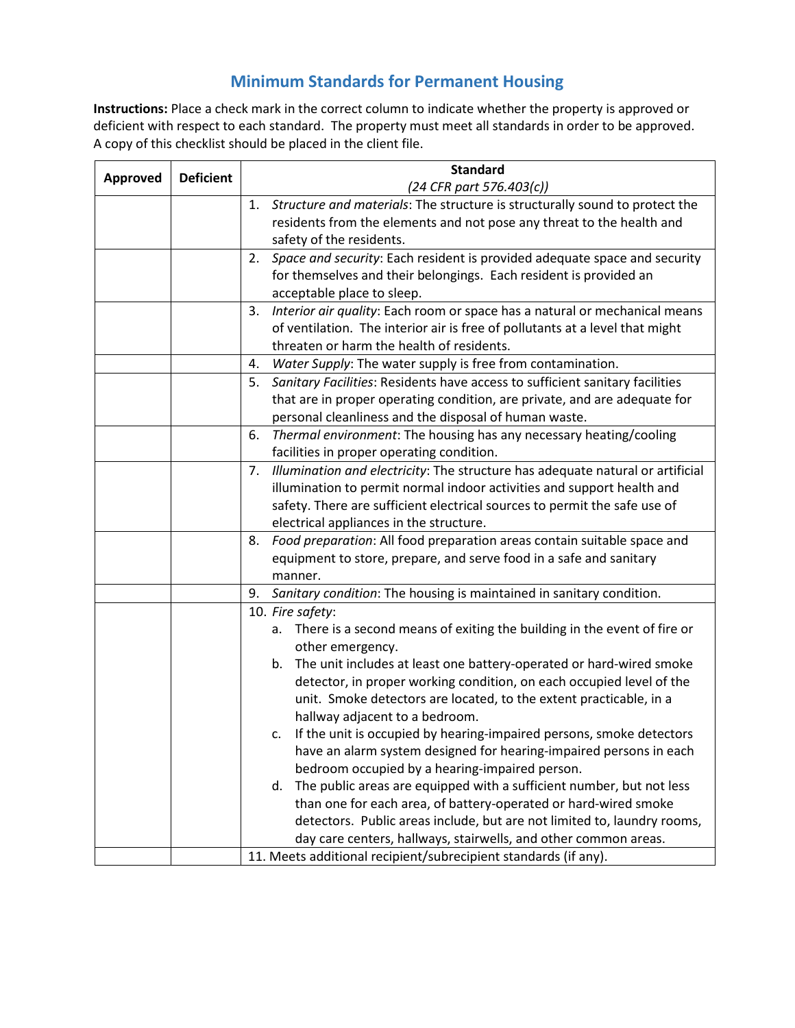## **Minimum Standards for Permanent Housing**

**Instructions:** Place a check mark in the correct column to indicate whether the property is approved or deficient with respect to each standard. The property must meet all standards in order to be approved. A copy of this checklist should be placed in the client file.

| <b>Approved</b> | <b>Deficient</b> | <b>Standard</b>                                                                      |
|-----------------|------------------|--------------------------------------------------------------------------------------|
|                 |                  | (24 CFR part 576.403(c))                                                             |
|                 |                  | Structure and materials: The structure is structurally sound to protect the<br>1.    |
|                 |                  | residents from the elements and not pose any threat to the health and                |
|                 |                  | safety of the residents.                                                             |
|                 |                  | 2. Space and security: Each resident is provided adequate space and security         |
|                 |                  | for themselves and their belongings. Each resident is provided an                    |
|                 |                  | acceptable place to sleep.                                                           |
|                 |                  | Interior air quality: Each room or space has a natural or mechanical means<br>3.     |
|                 |                  | of ventilation. The interior air is free of pollutants at a level that might         |
|                 |                  | threaten or harm the health of residents.                                            |
|                 |                  | Water Supply: The water supply is free from contamination.<br>4.                     |
|                 |                  | Sanitary Facilities: Residents have access to sufficient sanitary facilities<br>5.   |
|                 |                  | that are in proper operating condition, are private, and are adequate for            |
|                 |                  | personal cleanliness and the disposal of human waste.                                |
|                 |                  | Thermal environment: The housing has any necessary heating/cooling<br>6.             |
|                 |                  | facilities in proper operating condition.                                            |
|                 |                  | Illumination and electricity: The structure has adequate natural or artificial<br>7. |
|                 |                  | illumination to permit normal indoor activities and support health and               |
|                 |                  | safety. There are sufficient electrical sources to permit the safe use of            |
|                 |                  | electrical appliances in the structure.                                              |
|                 |                  | Food preparation: All food preparation areas contain suitable space and<br>8.        |
|                 |                  | equipment to store, prepare, and serve food in a safe and sanitary                   |
|                 |                  | manner.                                                                              |
|                 |                  | 9. Sanitary condition: The housing is maintained in sanitary condition.              |
|                 |                  | 10. Fire safety:                                                                     |
|                 |                  | There is a second means of exiting the building in the event of fire or<br>а.        |
|                 |                  | other emergency.                                                                     |
|                 |                  | The unit includes at least one battery-operated or hard-wired smoke<br>b.            |
|                 |                  | detector, in proper working condition, on each occupied level of the                 |
|                 |                  | unit. Smoke detectors are located, to the extent practicable, in a                   |
|                 |                  | hallway adjacent to a bedroom.                                                       |
|                 |                  | If the unit is occupied by hearing-impaired persons, smoke detectors<br>c.           |
|                 |                  | have an alarm system designed for hearing-impaired persons in each                   |
|                 |                  | bedroom occupied by a hearing-impaired person.                                       |
|                 |                  | The public areas are equipped with a sufficient number, but not less<br>d.           |
|                 |                  | than one for each area, of battery-operated or hard-wired smoke                      |
|                 |                  | detectors. Public areas include, but are not limited to, laundry rooms,              |
|                 |                  | day care centers, hallways, stairwells, and other common areas.                      |
|                 |                  | 11. Meets additional recipient/subrecipient standards (if any).                      |